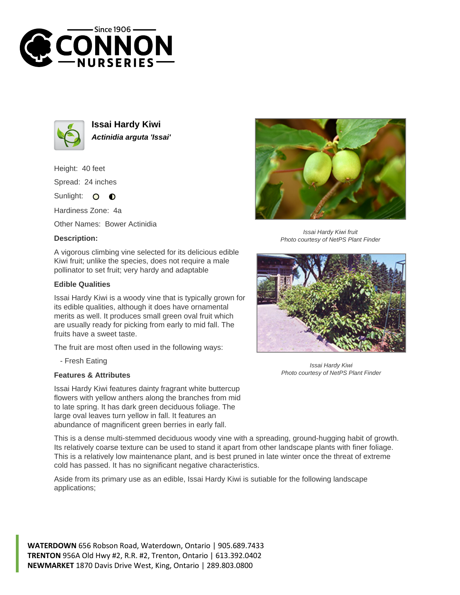



**Issai Hardy Kiwi Actinidia arguta 'Issai'**

Height: 40 feet Spread: 24 inches

Sunlight: O  $\bullet$ 

Hardiness Zone: 4a

Other Names: Bower Actinidia

## **Description:**

A vigorous climbing vine selected for its delicious edible Kiwi fruit; unlike the species, does not require a male pollinator to set fruit; very hardy and adaptable

## **Edible Qualities**

Issai Hardy Kiwi is a woody vine that is typically grown for its edible qualities, although it does have ornamental merits as well. It produces small green oval fruit which are usually ready for picking from early to mid fall. The fruits have a sweet taste.

The fruit are most often used in the following ways:

- Fresh Eating

## **Features & Attributes**

Issai Hardy Kiwi features dainty fragrant white buttercup flowers with yellow anthers along the branches from mid to late spring. It has dark green deciduous foliage. The large oval leaves turn yellow in fall. It features an abundance of magnificent green berries in early fall.

This is a dense multi-stemmed deciduous woody vine with a spreading, ground-hugging habit of growth. Its relatively coarse texture can be used to stand it apart from other landscape plants with finer foliage. This is a relatively low maintenance plant, and is best pruned in late winter once the threat of extreme cold has passed. It has no significant negative characteristics.

Aside from its primary use as an edible, Issai Hardy Kiwi is sutiable for the following landscape applications;

**WATERDOWN** 656 Robson Road, Waterdown, Ontario | 905.689.7433 **TRENTON** 956A Old Hwy #2, R.R. #2, Trenton, Ontario | 613.392.0402 **NEWMARKET** 1870 Davis Drive West, King, Ontario | 289.803.0800



Issai Hardy Kiwi fruit Photo courtesy of NetPS Plant Finder



Issai Hardy Kiwi Photo courtesy of NetPS Plant Finder